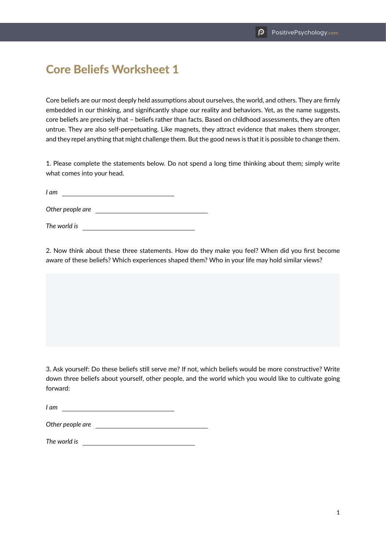## Core Beliefs Worksheet 1

Core beliefs are our most deeply held assumptions about ourselves, the world, and others. They are firmly embedded in our thinking, and significantly shape our reality and behaviors. Yet, as the name suggests, core beliefs are precisely that – beliefs rather than facts. Based on childhood assessments, they are often untrue. They are also self-perpetuating. Like magnets, they attract evidence that makes them stronger, and they repel anything that might challenge them. But the good news is that it is possible to change them.

1. Please complete the statements below. Do not spend a long time thinking about them; simply write what comes into your head.

*I am* 

*Other people are* 

*The world is* 

2. Now think about these three statements. How do they make you feel? When did you first become aware of these beliefs? Which experiences shaped them? Who in your life may hold similar views?

3. Ask yourself: Do these beliefs still serve me? If not, which beliefs would be more constructive? Write down three beliefs about yourself, other people, and the world which you would like to cultivate going forward:

| ٠<br>$\sim$<br>- 10 |  |
|---------------------|--|
|                     |  |

*Other people are* 

*The world is*